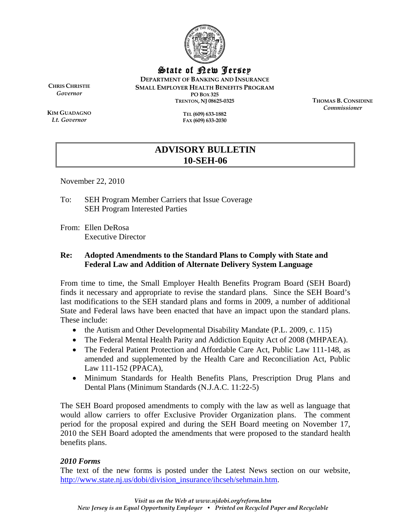

State of New Jersey

**DEPARTMENT OF BANKING AND INSURANCE SMALL EMPLOYER HEALTH BENEFITS PROGRAM PO BOX 325 TRENTON, NJ 08625-0325** 

**CHRIS CHRISTIE** *Governor* 

**KIM GUADAGNO** *Lt. Governor* 

**TEL (609) 633-1882 FAX (609) 633-2030**  **THOMAS B. CONSIDINE** *Commissioner* 

# **ADVISORY BULLETIN 10-SEH-06**

November 22, 2010

To: SEH Program Member Carriers that Issue Coverage SEH Program Interested Parties

From: Ellen DeRosa Executive Director

# **Re: Adopted Amendments to the Standard Plans to Comply with State and Federal Law and Addition of Alternate Delivery System Language**

From time to time, the Small Employer Health Benefits Program Board (SEH Board) finds it necessary and appropriate to revise the standard plans. Since the SEH Board's last modifications to the SEH standard plans and forms in 2009, a number of additional State and Federal laws have been enacted that have an impact upon the standard plans. These include:

- the Autism and Other Developmental Disability Mandate (P.L. 2009, c. 115)
- The Federal Mental Health Parity and Addiction Equity Act of 2008 (MHPAEA).
- The Federal Patient Protection and Affordable Care Act, Public Law 111-148, as amended and supplemented by the Health Care and Reconciliation Act, Public Law 111-152 (PPACA),
- Minimum Standards for Health Benefits Plans, Prescription Drug Plans and Dental Plans (Minimum Standards (N.J.A.C. 11:22-5)

The SEH Board proposed amendments to comply with the law as well as language that would allow carriers to offer Exclusive Provider Organization plans. The comment period for the proposal expired and during the SEH Board meeting on November 17, 2010 the SEH Board adopted the amendments that were proposed to the standard health benefits plans.

## *2010 Forms*

The text of the new forms is posted under the Latest News section on our website, http://www.state.nj.us/dobi/division\_insurance/ihcseh/sehmain.htm.